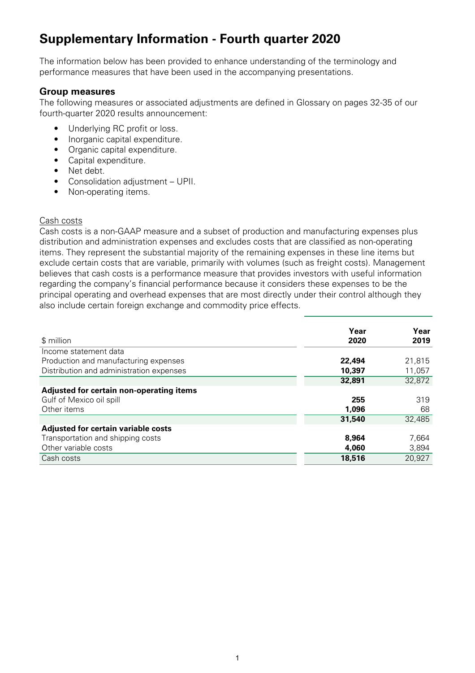# **Supplementary Information - Fourth quarter 2020**

The information below has been provided to enhance understanding of the terminology and performance measures that have been used in the accompanying presentations.

## **Group measures**

The following measures or associated adjustments are defined in Glossary on pages 32-35 of our fourth-quarter 2020 results announcement:

- Underlying RC profit or loss.
- Inorganic capital expenditure.
- Organic capital expenditure.
- Capital expenditure.
- Net debt.
- Consolidation adjustment UPII.
- Non-operating items.

## Cash costs

Cash costs is a non-GAAP measure and a subset of production and manufacturing expenses plus distribution and administration expenses and excludes costs that are classified as non-operating items. They represent the substantial majority of the remaining expenses in these line items but exclude certain costs that are variable, primarily with volumes (such as freight costs). Management believes that cash costs is a performance measure that provides investors with useful information regarding the company's financial performance because it considers these expenses to be the principal operating and overhead expenses that are most directly under their control although they also include certain foreign exchange and commodity price effects.

|                                          | Year   | Year   |
|------------------------------------------|--------|--------|
| \$ million                               | 2020   | 2019   |
| Income statement data                    |        |        |
| Production and manufacturing expenses    | 22,494 | 21,815 |
| Distribution and administration expenses | 10,397 | 11,057 |
|                                          | 32,891 | 32,872 |
| Adjusted for certain non-operating items |        |        |
| Gulf of Mexico oil spill                 | 255    | 319    |
| Other items                              | 1,096  | 68     |
|                                          | 31,540 | 32,485 |
| Adjusted for certain variable costs      |        |        |
| Transportation and shipping costs        | 8,964  | 7,664  |
| Other variable costs                     | 4,060  | 3,894  |
| Cash costs                               | 18,516 | 20,927 |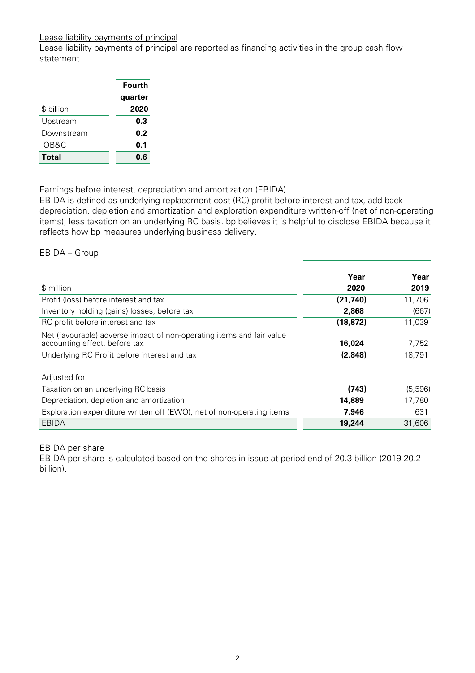## Lease liability payments of principal

Lease liability payments of principal are reported as financing activities in the group cash flow statement.

|            | Fourth  |
|------------|---------|
|            | quarter |
| \$ billion | 2020    |
| Upstream   | 0.3     |
| Downstream | 0.2     |
| OB&C       | 0.1     |
| Total      | 0.6     |

## Earnings before interest, depreciation and amortization (EBIDA)

EBIDA is defined as underlying replacement cost (RC) profit before interest and tax, add back depreciation, depletion and amortization and exploration expenditure written-off (net of non-operating items), less taxation on an underlying RC basis. bp believes it is helpful to disclose EBIDA because it reflects how bp measures underlying business delivery.

#### EBIDA – Group

|                                                                                                        | Year      | Year    |
|--------------------------------------------------------------------------------------------------------|-----------|---------|
| \$ million                                                                                             | 2020      | 2019    |
| Profit (loss) before interest and tax                                                                  | (21, 740) | 11,706  |
| Inventory holding (gains) losses, before tax                                                           | 2,868     | (667)   |
| RC profit before interest and tax                                                                      | (18, 872) | 11,039  |
| Net (favourable) adverse impact of non-operating items and fair value<br>accounting effect, before tax | 16,024    | 7,752   |
| Underlying RC Profit before interest and tax                                                           | (2,848)   | 18,791  |
| Adjusted for:                                                                                          |           |         |
| Taxation on an underlying RC basis                                                                     | (743)     | (5,596) |
| Depreciation, depletion and amortization                                                               | 14,889    | 17,780  |
| Exploration expenditure written off (EWO), net of non-operating items                                  | 7,946     | 631     |
| EBIDA                                                                                                  | 19,244    | 31,606  |

## EBIDA per share

EBIDA per share is calculated based on the shares in issue at period-end of 20.3 billion (2019 20.2 billion).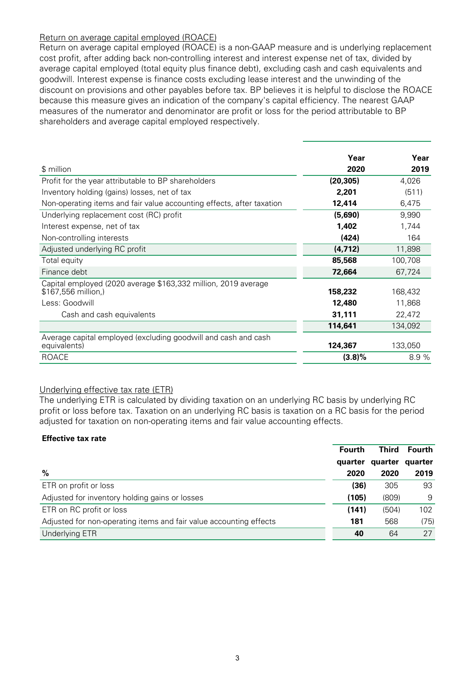## Return on average capital employed (ROACE)

Return on average capital employed (ROACE) is a non-GAAP measure and is underlying replacement cost profit, after adding back non-controlling interest and interest expense net of tax, divided by average capital employed (total equity plus finance debt), excluding cash and cash equivalents and goodwill. Interest expense is finance costs excluding lease interest and the unwinding of the discount on provisions and other payables before tax. BP believes it is helpful to disclose the ROACE because this measure gives an indication of the company's capital efficiency. The nearest GAAP measures of the numerator and denominator are profit or loss for the period attributable to BP shareholders and average capital employed respectively.

|                                                                                       | Year      | Year    |
|---------------------------------------------------------------------------------------|-----------|---------|
| \$ million                                                                            | 2020      | 2019    |
| Profit for the year attributable to BP shareholders                                   | (20, 305) | 4,026   |
| Inventory holding (gains) losses, net of tax                                          | 2,201     | (511)   |
| Non-operating items and fair value accounting effects, after taxation                 | 12,414    | 6,475   |
| Underlying replacement cost (RC) profit                                               | (5,690)   | 9,990   |
| Interest expense, net of tax                                                          | 1,402     | 1,744   |
| Non-controlling interests                                                             | (424)     | 164     |
| Adjusted underlying RC profit                                                         | (4, 712)  | 11,898  |
| Total equity                                                                          | 85,568    | 100,708 |
| Finance debt                                                                          | 72,664    | 67,724  |
| Capital employed (2020 average \$163,332 million, 2019 average<br>\$167,556 million,) | 158,232   | 168,432 |
| Less: Goodwill                                                                        | 12,480    | 11,868  |
| Cash and cash equivalents                                                             | 31,111    | 22,472  |
|                                                                                       | 114,641   | 134,092 |
| Average capital employed (excluding goodwill and cash and cash<br>equivalents)        | 124,367   | 133,050 |
| <b>ROACE</b>                                                                          | $(3.8)\%$ | 8.9 %   |

## Underlying effective tax rate (ETR)

The underlying ETR is calculated by dividing taxation on an underlying RC basis by underlying RC profit or loss before tax. Taxation on an underlying RC basis is taxation on a RC basis for the period adjusted for taxation on non-operating items and fair value accounting effects.

#### **Effective tax rate**

|                                                                    | <b>Fourth</b> | Third   | <b>Fourth</b> |
|--------------------------------------------------------------------|---------------|---------|---------------|
|                                                                    | quarter       | quarter | quarter       |
| $\%$                                                               | 2020          | 2020    | 2019          |
| ETR on profit or loss                                              | (36)          | 305     | 93            |
| Adjusted for inventory holding gains or losses                     | (105)         | (809)   | 9             |
| ETR on RC profit or loss                                           | (141)         | (504)   | 102           |
| Adjusted for non-operating items and fair value accounting effects | 181           | 568     | (75)          |
| <b>Underlying ETR</b>                                              | 40            | 64      | 27            |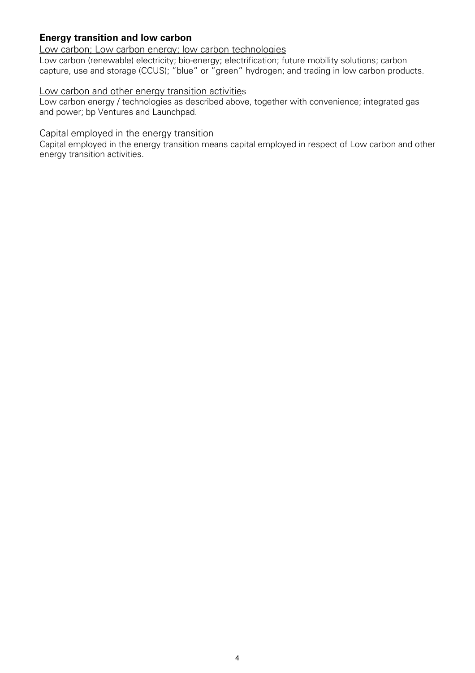# **Energy transition and low carbon**

## Low carbon; Low carbon energy; low carbon technologies

Low carbon (renewable) electricity; bio-energy; electrification; future mobility solutions; carbon capture, use and storage (CCUS); "blue" or "green" hydrogen; and trading in low carbon products.

## Low carbon and other energy transition activities

Low carbon energy / technologies as described above, together with convenience; integrated gas and power; bp Ventures and Launchpad.

## Capital employed in the energy transition

Capital employed in the energy transition means capital employed in respect of Low carbon and other energy transition activities.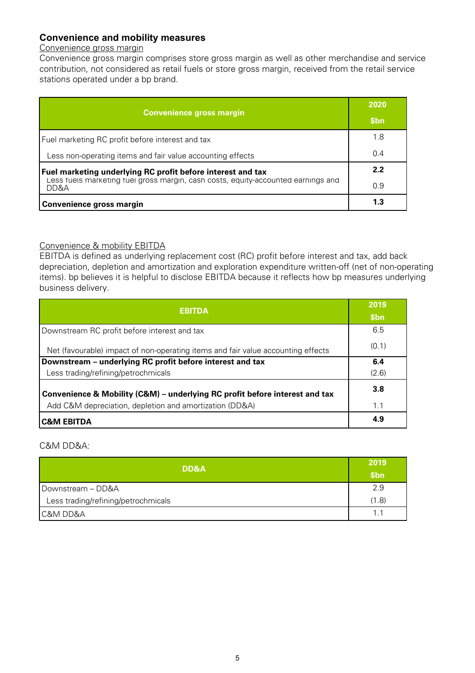# **Convenience and mobility measures**

## Convenience gross margin

Convenience gross margin comprises store gross margin as well as other merchandise and service contribution, not considered as retail fuels or store gross margin, received from the retail service stations operated under a bp brand.

| <b>Convenience gross margin</b>                                                           | 2020             |
|-------------------------------------------------------------------------------------------|------------------|
|                                                                                           | \$ <sub>bn</sub> |
| Fuel marketing RC profit before interest and tax                                          | 1.8              |
| Less non-operating items and fair value accounting effects                                | 0.4              |
| Fuel marketing underlying RC profit before interest and tax                               | 2.2              |
| Less tuels marketing tuel gross margin, cash costs, equity-accounted earnings and<br>DD&A | 0.9              |
| Convenience gross margin                                                                  | 1.3              |

## Convenience & mobility EBITDA

EBITDA is defined as underlying replacement cost (RC) profit before interest and tax, add back depreciation, depletion and amortization and exploration expenditure written-off (net of non-operating items). bp believes it is helpful to disclose EBITDA because it reflects how bp measures underlying business delivery.

| <b>EBITDA</b>                                                                                                                          | 2019<br>\$bn |
|----------------------------------------------------------------------------------------------------------------------------------------|--------------|
| Downstream RC profit before interest and tax                                                                                           | 6.5          |
| Net (favourable) impact of non-operating items and fair value accounting effects                                                       | (0.1)        |
| Downstream – underlying RC profit before interest and tax                                                                              | 6.4          |
| Less trading/refining/petrochmicals                                                                                                    | (2.6)        |
| Convenience & Mobility (C&M) – underlying RC profit before interest and tax<br>Add C&M depreciation, depletion and amortization (DD&A) | 3.8<br>1.1   |
|                                                                                                                                        | 4.9          |
| <b>C&amp;M EBITDA</b>                                                                                                                  |              |

## C&M DD&A:

| DD&A                                | 2019<br>\$bn |
|-------------------------------------|--------------|
| Downstream - DD&A                   | 2.9          |
| Less trading/refining/petrochmicals | (1.8)        |
| C&M DD&A                            | 1.           |